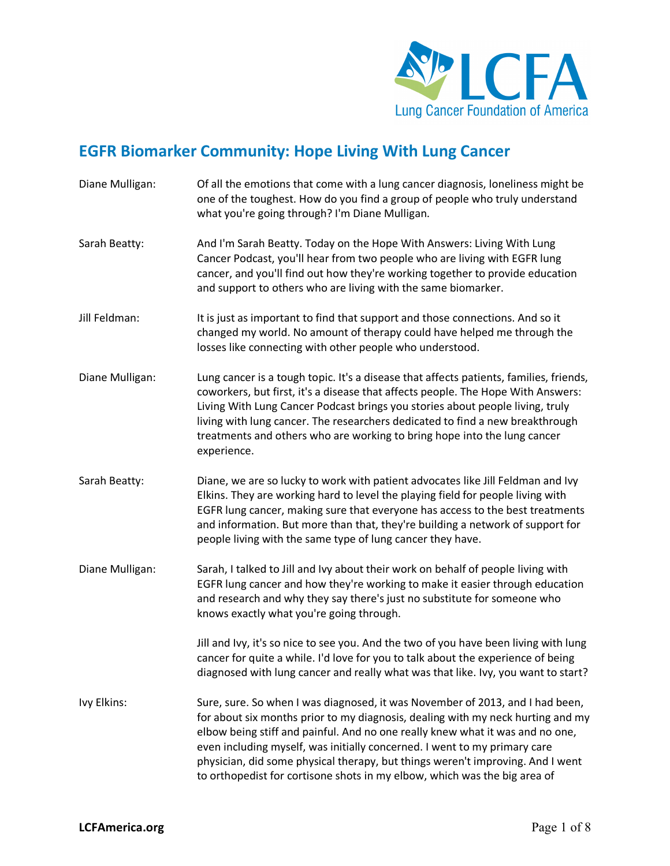

## **EGFR Biomarker Community: Hope Living With Lung Cancer**

Diane Mulligan: Of all the emotions that come with a lung cancer diagnosis, loneliness might be one of the toughest. How do you find a group of people who truly understand what you're going through? I'm Diane Mulligan. Sarah Beatty: And I'm Sarah Beatty. Today on the Hope With Answers: Living With Lung Cancer Podcast, you'll hear from two people who are living with EGFR lung cancer, and you'll find out how they're working together to provide education and support to others who are living with the same biomarker. Jill Feldman: It is just as important to find that support and those connections. And so it changed my world. No amount of therapy could have helped me through the losses like connecting with other people who understood. Diane Mulligan: Lung cancer is a tough topic. It's a disease that affects patients, families, friends, coworkers, but first, it's a disease that affects people. The Hope With Answers: Living With Lung Cancer Podcast brings you stories about people living, truly living with lung cancer. The researchers dedicated to find a new breakthrough treatments and others who are working to bring hope into the lung cancer experience. Sarah Beatty: Diane, we are so lucky to work with patient advocates like Jill Feldman and Ivy Elkins. They are working hard to level the playing field for people living with EGFR lung cancer, making sure that everyone has access to the best treatments and information. But more than that, they're building a network of support for people living with the same type of lung cancer they have. Diane Mulligan: Sarah, I talked to Jill and Ivy about their work on behalf of people living with EGFR lung cancer and how they're working to make it easier through education and research and why they say there's just no substitute for someone who knows exactly what you're going through. Jill and Ivy, it's so nice to see you. And the two of you have been living with lung cancer for quite a while. I'd love for you to talk about the experience of being diagnosed with lung cancer and really what was that like. Ivy, you want to start? Ivy Elkins: Sure, sure. So when I was diagnosed, it was November of 2013, and I had been, for about six months prior to my diagnosis, dealing with my neck hurting and my elbow being stiff and painful. And no one really knew what it was and no one, even including myself, was initially concerned. I went to my primary care physician, did some physical therapy, but things weren't improving. And I went to orthopedist for cortisone shots in my elbow, which was the big area of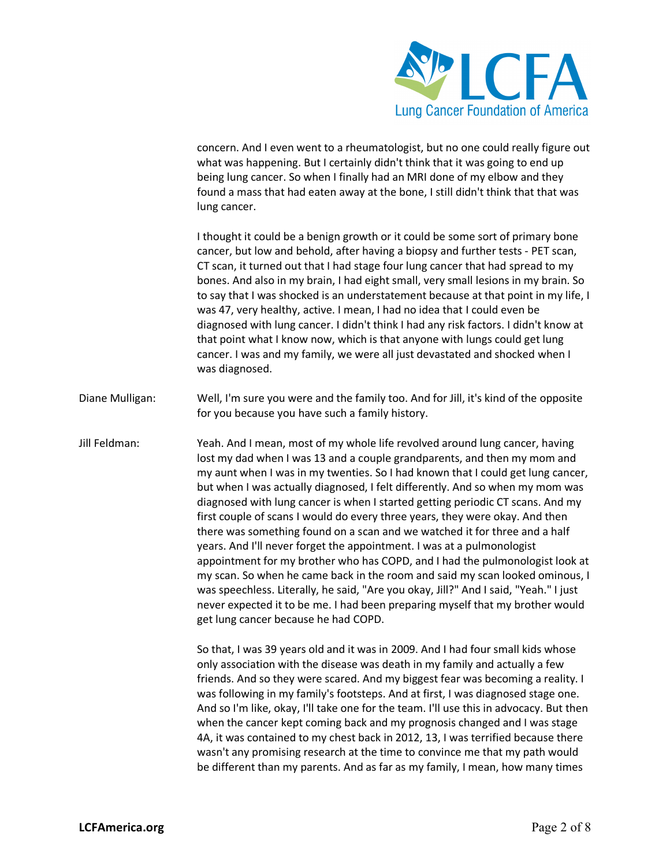

concern. And I even went to a rheumatologist, but no one could really figure out what was happening. But I certainly didn't think that it was going to end up being lung cancer. So when I finally had an MRI done of my elbow and they found a mass that had eaten away at the bone, I still didn't think that that was lung cancer.

I thought it could be a benign growth or it could be some sort of primary bone cancer, but low and behold, after having a biopsy and further tests - PET scan, CT scan, it turned out that I had stage four lung cancer that had spread to my bones. And also in my brain, I had eight small, very small lesions in my brain. So to say that I was shocked is an understatement because at that point in my life, I was 47, very healthy, active. I mean, I had no idea that I could even be diagnosed with lung cancer. I didn't think I had any risk factors. I didn't know at that point what I know now, which is that anyone with lungs could get lung cancer. I was and my family, we were all just devastated and shocked when I was diagnosed.

- Diane Mulligan: Well, I'm sure you were and the family too. And for Jill, it's kind of the opposite for you because you have such a family history.
- Jill Feldman: Yeah. And I mean, most of my whole life revolved around lung cancer, having lost my dad when I was 13 and a couple grandparents, and then my mom and my aunt when I was in my twenties. So I had known that I could get lung cancer, but when I was actually diagnosed, I felt differently. And so when my mom was diagnosed with lung cancer is when I started getting periodic CT scans. And my first couple of scans I would do every three years, they were okay. And then there was something found on a scan and we watched it for three and a half years. And I'll never forget the appointment. I was at a pulmonologist appointment for my brother who has COPD, and I had the pulmonologist look at my scan. So when he came back in the room and said my scan looked ominous, I was speechless. Literally, he said, "Are you okay, Jill?" And I said, "Yeah." I just never expected it to be me. I had been preparing myself that my brother would get lung cancer because he had COPD.

So that, I was 39 years old and it was in 2009. And I had four small kids whose only association with the disease was death in my family and actually a few friends. And so they were scared. And my biggest fear was becoming a reality. I was following in my family's footsteps. And at first, I was diagnosed stage one. And so I'm like, okay, I'll take one for the team. I'll use this in advocacy. But then when the cancer kept coming back and my prognosis changed and I was stage 4A, it was contained to my chest back in 2012, 13, I was terrified because there wasn't any promising research at the time to convince me that my path would be different than my parents. And as far as my family, I mean, how many times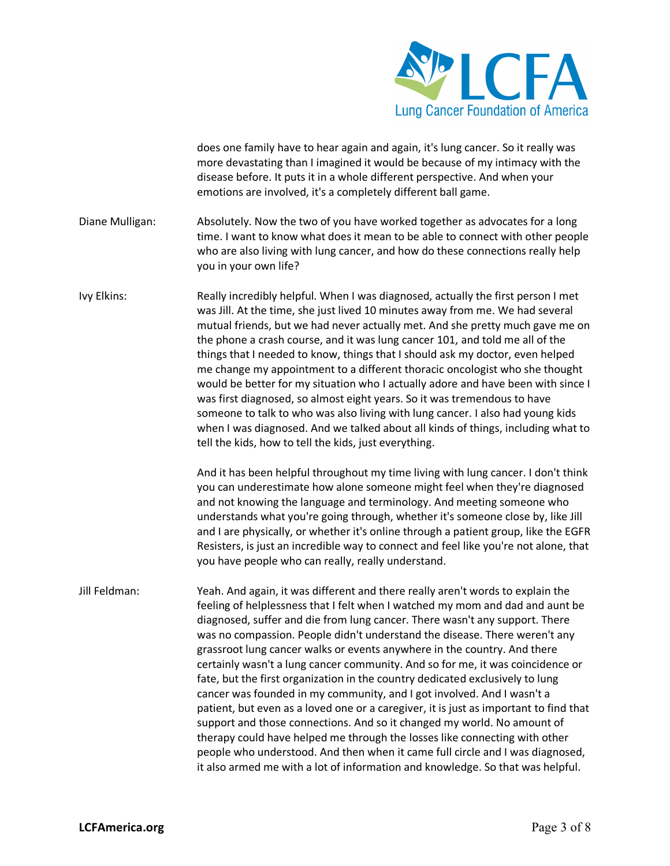

does one family have to hear again and again, it's lung cancer. So it really was more devastating than I imagined it would be because of my intimacy with the disease before. It puts it in a whole different perspective. And when your emotions are involved, it's a completely different ball game.

- Diane Mulligan: Absolutely. Now the two of you have worked together as advocates for a long time. I want to know what does it mean to be able to connect with other people who are also living with lung cancer, and how do these connections really help you in your own life?
- Ivy Elkins: Really incredibly helpful. When I was diagnosed, actually the first person I met was Jill. At the time, she just lived 10 minutes away from me. We had several mutual friends, but we had never actually met. And she pretty much gave me on the phone a crash course, and it was lung cancer 101, and told me all of the things that I needed to know, things that I should ask my doctor, even helped me change my appointment to a different thoracic oncologist who she thought would be better for my situation who I actually adore and have been with since I was first diagnosed, so almost eight years. So it was tremendous to have someone to talk to who was also living with lung cancer. I also had young kids when I was diagnosed. And we talked about all kinds of things, including what to tell the kids, how to tell the kids, just everything.

And it has been helpful throughout my time living with lung cancer. I don't think you can underestimate how alone someone might feel when they're diagnosed and not knowing the language and terminology. And meeting someone who understands what you're going through, whether it's someone close by, like Jill and I are physically, or whether it's online through a patient group, like the EGFR Resisters, is just an incredible way to connect and feel like you're not alone, that you have people who can really, really understand.

Jill Feldman: Yeah. And again, it was different and there really aren't words to explain the feeling of helplessness that I felt when I watched my mom and dad and aunt be diagnosed, suffer and die from lung cancer. There wasn't any support. There was no compassion. People didn't understand the disease. There weren't any grassroot lung cancer walks or events anywhere in the country. And there certainly wasn't a lung cancer community. And so for me, it was coincidence or fate, but the first organization in the country dedicated exclusively to lung cancer was founded in my community, and I got involved. And I wasn't a patient, but even as a loved one or a caregiver, it is just as important to find that support and those connections. And so it changed my world. No amount of therapy could have helped me through the losses like connecting with other people who understood. And then when it came full circle and I was diagnosed, it also armed me with a lot of information and knowledge. So that was helpful.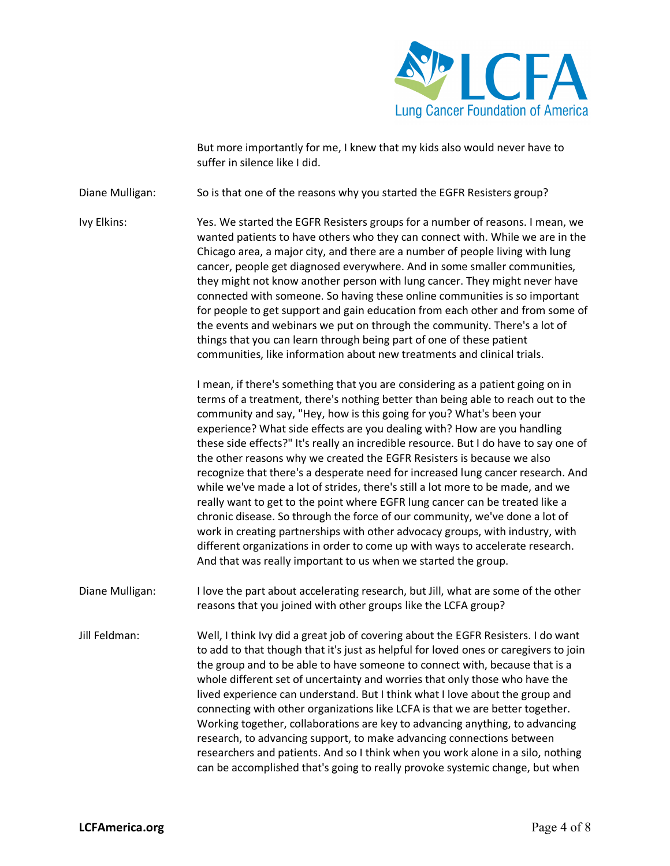

But more importantly for me, I knew that my kids also would never have to suffer in silence like I did.

Diane Mulligan: So is that one of the reasons why you started the EGFR Resisters group?

Ivy Elkins: Yes. We started the EGFR Resisters groups for a number of reasons. I mean, we wanted patients to have others who they can connect with. While we are in the Chicago area, a major city, and there are a number of people living with lung cancer, people get diagnosed everywhere. And in some smaller communities, they might not know another person with lung cancer. They might never have connected with someone. So having these online communities is so important for people to get support and gain education from each other and from some of the events and webinars we put on through the community. There's a lot of things that you can learn through being part of one of these patient communities, like information about new treatments and clinical trials.

> I mean, if there's something that you are considering as a patient going on in terms of a treatment, there's nothing better than being able to reach out to the community and say, "Hey, how is this going for you? What's been your experience? What side effects are you dealing with? How are you handling these side effects?" It's really an incredible resource. But I do have to say one of the other reasons why we created the EGFR Resisters is because we also recognize that there's a desperate need for increased lung cancer research. And while we've made a lot of strides, there's still a lot more to be made, and we really want to get to the point where EGFR lung cancer can be treated like a chronic disease. So through the force of our community, we've done a lot of work in creating partnerships with other advocacy groups, with industry, with different organizations in order to come up with ways to accelerate research. And that was really important to us when we started the group.

Diane Mulligan: I love the part about accelerating research, but Jill, what are some of the other reasons that you joined with other groups like the LCFA group?

Jill Feldman: Well, I think Ivy did a great job of covering about the EGFR Resisters. I do want to add to that though that it's just as helpful for loved ones or caregivers to join the group and to be able to have someone to connect with, because that is a whole different set of uncertainty and worries that only those who have the lived experience can understand. But I think what I love about the group and connecting with other organizations like LCFA is that we are better together. Working together, collaborations are key to advancing anything, to advancing research, to advancing support, to make advancing connections between researchers and patients. And so I think when you work alone in a silo, nothing can be accomplished that's going to really provoke systemic change, but when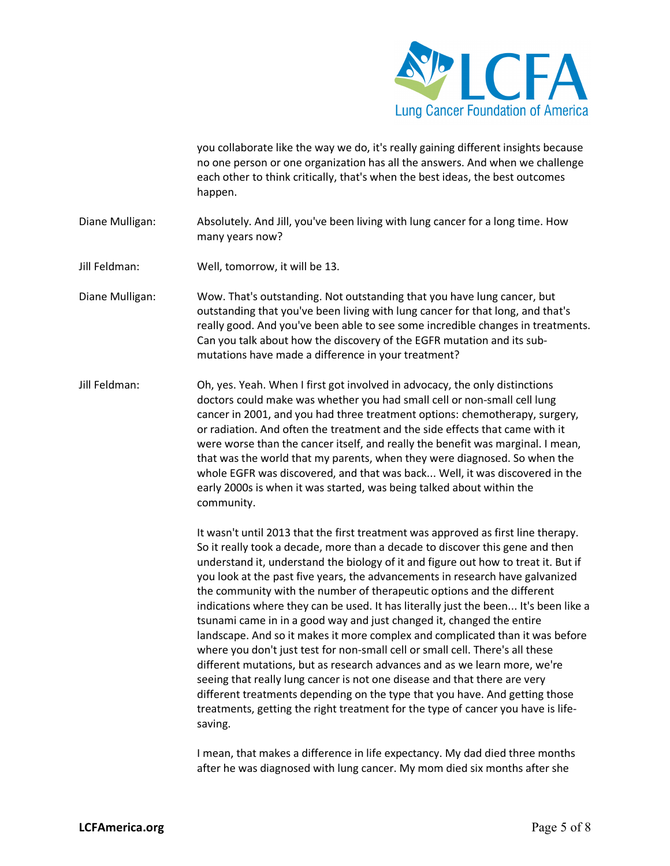

you collaborate like the way we do, it's really gaining different insights because no one person or one organization has all the answers. And when we challenge each other to think critically, that's when the best ideas, the best outcomes happen.

- Diane Mulligan: Absolutely. And Jill, you've been living with lung cancer for a long time. How many years now?
- Jill Feldman: Well, tomorrow, it will be 13.
- Diane Mulligan: Wow. That's outstanding. Not outstanding that you have lung cancer, but outstanding that you've been living with lung cancer for that long, and that's really good. And you've been able to see some incredible changes in treatments. Can you talk about how the discovery of the EGFR mutation and its submutations have made a difference in your treatment?
- Jill Feldman: Oh, yes. Yeah. When I first got involved in advocacy, the only distinctions doctors could make was whether you had small cell or non-small cell lung cancer in 2001, and you had three treatment options: chemotherapy, surgery, or radiation. And often the treatment and the side effects that came with it were worse than the cancer itself, and really the benefit was marginal. I mean, that was the world that my parents, when they were diagnosed. So when the whole EGFR was discovered, and that was back... Well, it was discovered in the early 2000s is when it was started, was being talked about within the community.

It wasn't until 2013 that the first treatment was approved as first line therapy. So it really took a decade, more than a decade to discover this gene and then understand it, understand the biology of it and figure out how to treat it. But if you look at the past five years, the advancements in research have galvanized the community with the number of therapeutic options and the different indications where they can be used. It has literally just the been... It's been like a tsunami came in in a good way and just changed it, changed the entire landscape. And so it makes it more complex and complicated than it was before where you don't just test for non-small cell or small cell. There's all these different mutations, but as research advances and as we learn more, we're seeing that really lung cancer is not one disease and that there are very different treatments depending on the type that you have. And getting those treatments, getting the right treatment for the type of cancer you have is lifesaving.

I mean, that makes a difference in life expectancy. My dad died three months after he was diagnosed with lung cancer. My mom died six months after she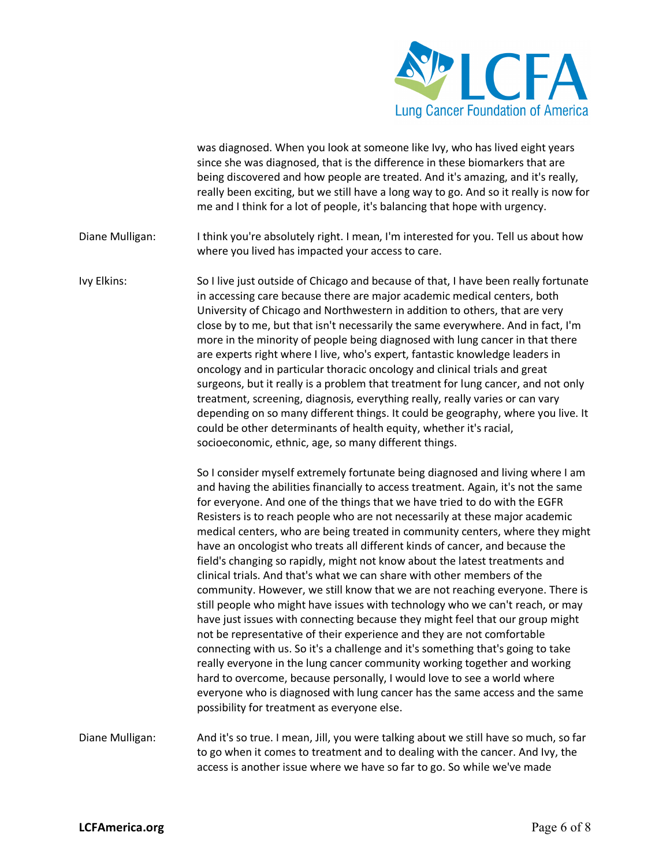

was diagnosed. When you look at someone like Ivy, who has lived eight years since she was diagnosed, that is the difference in these biomarkers that are being discovered and how people are treated. And it's amazing, and it's really, really been exciting, but we still have a long way to go. And so it really is now for me and I think for a lot of people, it's balancing that hope with urgency.

Diane Mulligan: I think you're absolutely right. I mean, I'm interested for you. Tell us about how where you lived has impacted your access to care.

Ivy Elkins: So I live just outside of Chicago and because of that, I have been really fortunate in accessing care because there are major academic medical centers, both University of Chicago and Northwestern in addition to others, that are very close by to me, but that isn't necessarily the same everywhere. And in fact, I'm more in the minority of people being diagnosed with lung cancer in that there are experts right where I live, who's expert, fantastic knowledge leaders in oncology and in particular thoracic oncology and clinical trials and great surgeons, but it really is a problem that treatment for lung cancer, and not only treatment, screening, diagnosis, everything really, really varies or can vary depending on so many different things. It could be geography, where you live. It could be other determinants of health equity, whether it's racial, socioeconomic, ethnic, age, so many different things.

> So I consider myself extremely fortunate being diagnosed and living where I am and having the abilities financially to access treatment. Again, it's not the same for everyone. And one of the things that we have tried to do with the EGFR Resisters is to reach people who are not necessarily at these major academic medical centers, who are being treated in community centers, where they might have an oncologist who treats all different kinds of cancer, and because the field's changing so rapidly, might not know about the latest treatments and clinical trials. And that's what we can share with other members of the community. However, we still know that we are not reaching everyone. There is still people who might have issues with technology who we can't reach, or may have just issues with connecting because they might feel that our group might not be representative of their experience and they are not comfortable connecting with us. So it's a challenge and it's something that's going to take really everyone in the lung cancer community working together and working hard to overcome, because personally, I would love to see a world where everyone who is diagnosed with lung cancer has the same access and the same possibility for treatment as everyone else.

Diane Mulligan: And it's so true. I mean, Jill, you were talking about we still have so much, so far to go when it comes to treatment and to dealing with the cancer. And Ivy, the access is another issue where we have so far to go. So while we've made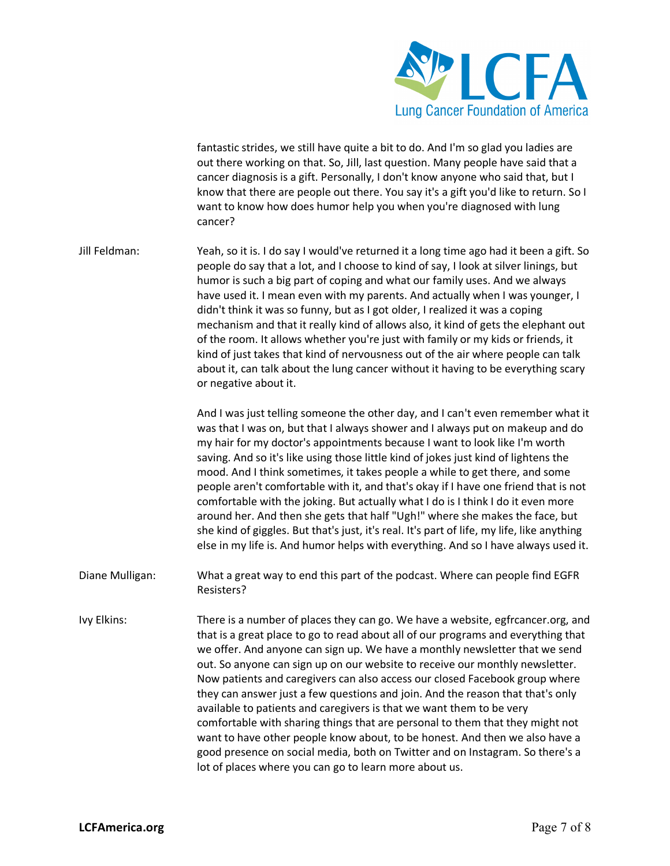

fantastic strides, we still have quite a bit to do. And I'm so glad you ladies are out there working on that. So, Jill, last question. Many people have said that a cancer diagnosis is a gift. Personally, I don't know anyone who said that, but I know that there are people out there. You say it's a gift you'd like to return. So I want to know how does humor help you when you're diagnosed with lung cancer?

Jill Feldman: Yeah, so it is. I do say I would've returned it a long time ago had it been a gift. So people do say that a lot, and I choose to kind of say, I look at silver linings, but humor is such a big part of coping and what our family uses. And we always have used it. I mean even with my parents. And actually when I was younger, I didn't think it was so funny, but as I got older, I realized it was a coping mechanism and that it really kind of allows also, it kind of gets the elephant out of the room. It allows whether you're just with family or my kids or friends, it kind of just takes that kind of nervousness out of the air where people can talk about it, can talk about the lung cancer without it having to be everything scary or negative about it.

> And I was just telling someone the other day, and I can't even remember what it was that I was on, but that I always shower and I always put on makeup and do my hair for my doctor's appointments because I want to look like I'm worth saving. And so it's like using those little kind of jokes just kind of lightens the mood. And I think sometimes, it takes people a while to get there, and some people aren't comfortable with it, and that's okay if I have one friend that is not comfortable with the joking. But actually what I do is I think I do it even more around her. And then she gets that half "Ugh!" where she makes the face, but she kind of giggles. But that's just, it's real. It's part of life, my life, like anything else in my life is. And humor helps with everything. And so I have always used it.

- Diane Mulligan: What a great way to end this part of the podcast. Where can people find EGFR Resisters?
- Ivy Elkins: There is a number of places they can go. We have a website, egfrcancer.org, and that is a great place to go to read about all of our programs and everything that we offer. And anyone can sign up. We have a monthly newsletter that we send out. So anyone can sign up on our website to receive our monthly newsletter. Now patients and caregivers can also access our closed Facebook group where they can answer just a few questions and join. And the reason that that's only available to patients and caregivers is that we want them to be very comfortable with sharing things that are personal to them that they might not want to have other people know about, to be honest. And then we also have a good presence on social media, both on Twitter and on Instagram. So there's a lot of places where you can go to learn more about us.